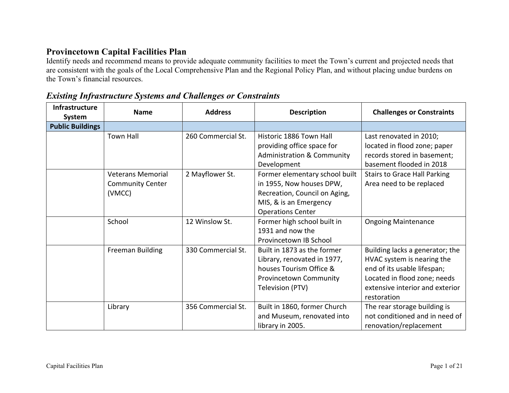## **Provincetown Capital Facilities Plan**

Identify needs and recommend means to provide adequate community facilities to meet the Town's current and projected needs that are consistent with the goals of the Local Comprehensive Plan and the Regional Policy Plan, and without placing undue burdens on the Town's financial resources.

| Infrastructure<br>System | <b>Name</b>                                                                       | <b>Address</b>                        | <b>Description</b>                                                                                                                                                                                                                     | <b>Challenges or Constraints</b>                                                                                                                                                      |
|--------------------------|-----------------------------------------------------------------------------------|---------------------------------------|----------------------------------------------------------------------------------------------------------------------------------------------------------------------------------------------------------------------------------------|---------------------------------------------------------------------------------------------------------------------------------------------------------------------------------------|
| <b>Public Buildings</b>  |                                                                                   |                                       |                                                                                                                                                                                                                                        |                                                                                                                                                                                       |
|                          | <b>Town Hall</b><br><b>Veterans Memorial</b><br><b>Community Center</b><br>(VMCC) | 260 Commercial St.<br>2 Mayflower St. | Historic 1886 Town Hall<br>providing office space for<br><b>Administration &amp; Community</b><br>Development<br>Former elementary school built<br>in 1955, Now houses DPW,<br>Recreation, Council on Aging,<br>MIS, & is an Emergency | Last renovated in 2010;<br>located in flood zone; paper<br>records stored in basement;<br>basement flooded in 2018<br><b>Stairs to Grace Hall Parking</b><br>Area need to be replaced |
|                          | School                                                                            | 12 Winslow St.                        | <b>Operations Center</b><br>Former high school built in<br>1931 and now the<br>Provincetown IB School                                                                                                                                  | <b>Ongoing Maintenance</b>                                                                                                                                                            |
|                          | <b>Freeman Building</b>                                                           | 330 Commercial St.                    | Built in 1873 as the former<br>Library, renovated in 1977,<br>houses Tourism Office &<br>Provincetown Community<br>Television (PTV)                                                                                                    | Building lacks a generator; the<br>HVAC system is nearing the<br>end of its usable lifespan;<br>Located in flood zone; needs<br>extensive interior and exterior<br>restoration        |
|                          | Library                                                                           | 356 Commercial St.                    | Built in 1860, former Church<br>and Museum, renovated into<br>library in 2005.                                                                                                                                                         | The rear storage building is<br>not conditioned and in need of<br>renovation/replacement                                                                                              |

## *Existing Infrastructure Systems and Challenges or Constraints*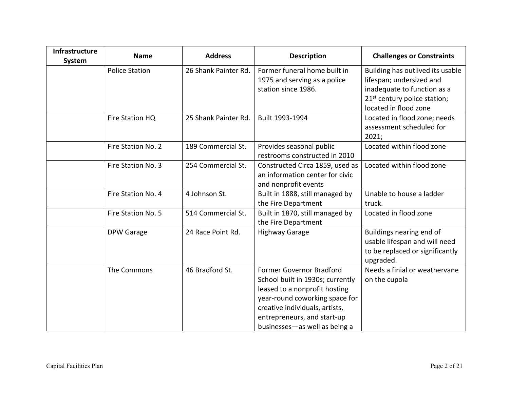| Infrastructure<br>System | <b>Name</b>           | <b>Address</b>       | <b>Description</b>                                                                                                                                                                                                                | <b>Challenges or Constraints</b>                                                                                                                                 |
|--------------------------|-----------------------|----------------------|-----------------------------------------------------------------------------------------------------------------------------------------------------------------------------------------------------------------------------------|------------------------------------------------------------------------------------------------------------------------------------------------------------------|
|                          | <b>Police Station</b> | 26 Shank Painter Rd. | Former funeral home built in<br>1975 and serving as a police<br>station since 1986.                                                                                                                                               | Building has outlived its usable<br>lifespan; undersized and<br>inadequate to function as a<br>21 <sup>st</sup> century police station;<br>located in flood zone |
|                          | Fire Station HQ       | 25 Shank Painter Rd. | Built 1993-1994                                                                                                                                                                                                                   | Located in flood zone; needs<br>assessment scheduled for<br>2021;                                                                                                |
|                          | Fire Station No. 2    | 189 Commercial St.   | Provides seasonal public<br>restrooms constructed in 2010                                                                                                                                                                         | Located within flood zone                                                                                                                                        |
|                          | Fire Station No. 3    | 254 Commercial St.   | Constructed Circa 1859, used as<br>an information center for civic<br>and nonprofit events                                                                                                                                        | Located within flood zone                                                                                                                                        |
|                          | Fire Station No. 4    | 4 Johnson St.        | Built in 1888, still managed by<br>the Fire Department                                                                                                                                                                            | Unable to house a ladder<br>truck.                                                                                                                               |
|                          | Fire Station No. 5    | 514 Commercial St.   | Built in 1870, still managed by<br>the Fire Department                                                                                                                                                                            | Located in flood zone                                                                                                                                            |
|                          | <b>DPW Garage</b>     | 24 Race Point Rd.    | <b>Highway Garage</b>                                                                                                                                                                                                             | Buildings nearing end of<br>usable lifespan and will need<br>to be replaced or significantly<br>upgraded.                                                        |
|                          | The Commons           | 46 Bradford St.      | Former Governor Bradford<br>School built in 1930s; currently<br>leased to a nonprofit hosting<br>year-round coworking space for<br>creative individuals, artists,<br>entrepreneurs, and start-up<br>businesses-as well as being a | Needs a finial or weathervane<br>on the cupola                                                                                                                   |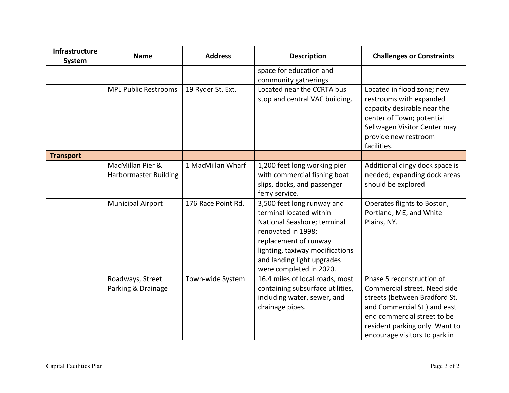| Infrastructure<br><b>System</b> | <b>Name</b>                                      | <b>Address</b>     | <b>Description</b>                                                                                                                                                                                                              | <b>Challenges or Constraints</b>                                                                                                                                                                                             |
|---------------------------------|--------------------------------------------------|--------------------|---------------------------------------------------------------------------------------------------------------------------------------------------------------------------------------------------------------------------------|------------------------------------------------------------------------------------------------------------------------------------------------------------------------------------------------------------------------------|
|                                 |                                                  |                    | space for education and<br>community gatherings                                                                                                                                                                                 |                                                                                                                                                                                                                              |
|                                 | <b>MPL Public Restrooms</b>                      | 19 Ryder St. Ext.  | Located near the CCRTA bus<br>stop and central VAC building.                                                                                                                                                                    | Located in flood zone; new<br>restrooms with expanded<br>capacity desirable near the<br>center of Town; potential<br>Sellwagen Visitor Center may<br>provide new restroom<br>facilities.                                     |
| <b>Transport</b>                |                                                  |                    |                                                                                                                                                                                                                                 |                                                                                                                                                                                                                              |
|                                 | MacMillan Pier &<br><b>Harbormaster Building</b> | 1 MacMillan Wharf  | 1,200 feet long working pier<br>with commercial fishing boat<br>slips, docks, and passenger<br>ferry service.                                                                                                                   | Additional dingy dock space is<br>needed; expanding dock areas<br>should be explored                                                                                                                                         |
|                                 | <b>Municipal Airport</b>                         | 176 Race Point Rd. | 3,500 feet long runway and<br>terminal located within<br>National Seashore; terminal<br>renovated in 1998;<br>replacement of runway<br>lighting, taxiway modifications<br>and landing light upgrades<br>were completed in 2020. | Operates flights to Boston,<br>Portland, ME, and White<br>Plains, NY.                                                                                                                                                        |
|                                 | Roadways, Street<br>Parking & Drainage           | Town-wide System   | 16.4 miles of local roads, most<br>containing subsurface utilities,<br>including water, sewer, and<br>drainage pipes.                                                                                                           | Phase 5 reconstruction of<br>Commercial street. Need side<br>streets (between Bradford St.<br>and Commercial St.) and east<br>end commercial street to be<br>resident parking only. Want to<br>encourage visitors to park in |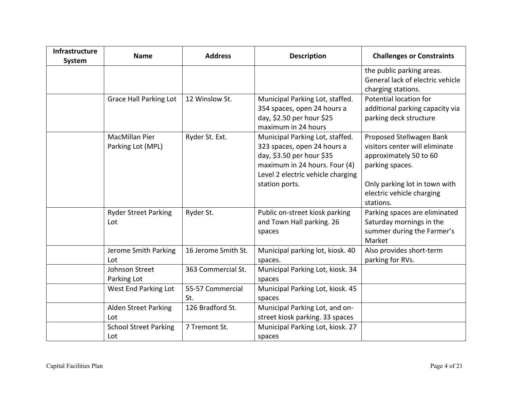| <b>Infrastructure</b><br>System | <b>Name</b>                         | <b>Address</b>          | <b>Description</b>                                                                                                                                                                  | <b>Challenges or Constraints</b>                                                                                                                                                   |
|---------------------------------|-------------------------------------|-------------------------|-------------------------------------------------------------------------------------------------------------------------------------------------------------------------------------|------------------------------------------------------------------------------------------------------------------------------------------------------------------------------------|
|                                 |                                     |                         |                                                                                                                                                                                     | the public parking areas.<br>General lack of electric vehicle<br>charging stations.                                                                                                |
|                                 | <b>Grace Hall Parking Lot</b>       | 12 Winslow St.          | Municipal Parking Lot, staffed.<br>354 spaces, open 24 hours a<br>day, \$2.50 per hour \$25<br>maximum in 24 hours                                                                  | Potential location for<br>additional parking capacity via<br>parking deck structure                                                                                                |
|                                 | MacMillan Pier<br>Parking Lot (MPL) | Ryder St. Ext.          | Municipal Parking Lot, staffed.<br>323 spaces, open 24 hours a<br>day, \$3.50 per hour \$35<br>maximum in 24 hours. Four (4)<br>Level 2 electric vehicle charging<br>station ports. | Proposed Stellwagen Bank<br>visitors center will eliminate<br>approximately 50 to 60<br>parking spaces.<br>Only parking lot in town with<br>electric vehicle charging<br>stations. |
|                                 | <b>Ryder Street Parking</b><br>Lot  | Ryder St.               | Public on-street kiosk parking<br>and Town Hall parking. 26<br>spaces                                                                                                               | Parking spaces are eliminated<br>Saturday mornings in the<br>summer during the Farmer's<br>Market                                                                                  |
|                                 | Jerome Smith Parking<br>Lot         | 16 Jerome Smith St.     | Municipal parking lot, kiosk. 40<br>spaces.                                                                                                                                         | Also provides short-term<br>parking for RVs.                                                                                                                                       |
|                                 | Johnson Street<br>Parking Lot       | 363 Commercial St.      | Municipal Parking Lot, kiosk. 34<br>spaces                                                                                                                                          |                                                                                                                                                                                    |
|                                 | West End Parking Lot                | 55-57 Commercial<br>St. | Municipal Parking Lot, kiosk. 45<br>spaces                                                                                                                                          |                                                                                                                                                                                    |
|                                 | <b>Alden Street Parking</b><br>Lot  | 126 Bradford St.        | Municipal Parking Lot, and on-<br>street kiosk parking. 33 spaces                                                                                                                   |                                                                                                                                                                                    |
|                                 | <b>School Street Parking</b><br>Lot | 7 Tremont St.           | Municipal Parking Lot, kiosk. 27<br>spaces                                                                                                                                          |                                                                                                                                                                                    |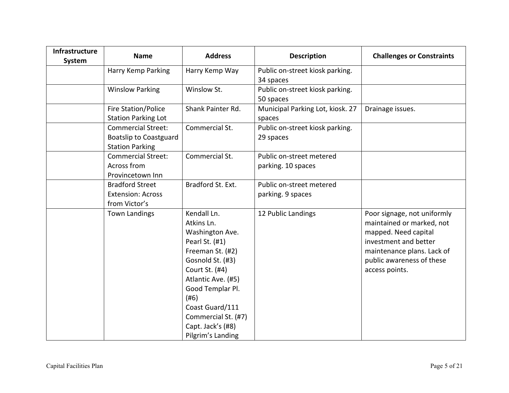| Infrastructure<br>System | <b>Name</b>                                                                          | <b>Address</b>                                                                                                                                                                                                                                                 | <b>Description</b>                             | <b>Challenges or Constraints</b>                                                                                                                                                       |
|--------------------------|--------------------------------------------------------------------------------------|----------------------------------------------------------------------------------------------------------------------------------------------------------------------------------------------------------------------------------------------------------------|------------------------------------------------|----------------------------------------------------------------------------------------------------------------------------------------------------------------------------------------|
|                          | Harry Kemp Parking                                                                   | Harry Kemp Way                                                                                                                                                                                                                                                 | Public on-street kiosk parking.<br>34 spaces   |                                                                                                                                                                                        |
|                          | <b>Winslow Parking</b>                                                               | Winslow St.                                                                                                                                                                                                                                                    | Public on-street kiosk parking.<br>50 spaces   |                                                                                                                                                                                        |
|                          | Fire Station/Police<br><b>Station Parking Lot</b>                                    | Shank Painter Rd.                                                                                                                                                                                                                                              | Municipal Parking Lot, kiosk. 27<br>spaces     | Drainage issues.                                                                                                                                                                       |
|                          | <b>Commercial Street:</b><br><b>Boatslip to Coastguard</b><br><b>Station Parking</b> | Commercial St.                                                                                                                                                                                                                                                 | Public on-street kiosk parking.<br>29 spaces   |                                                                                                                                                                                        |
|                          | <b>Commercial Street:</b><br>Across from<br>Provincetown Inn                         | Commercial St.                                                                                                                                                                                                                                                 | Public on-street metered<br>parking. 10 spaces |                                                                                                                                                                                        |
|                          | <b>Bradford Street</b><br><b>Extension: Across</b><br>from Victor's                  | Bradford St. Ext.                                                                                                                                                                                                                                              | Public on-street metered<br>parking. 9 spaces  |                                                                                                                                                                                        |
|                          | <b>Town Landings</b>                                                                 | Kendall Ln.<br>Atkins Ln.<br>Washington Ave.<br>Pearl St. (#1)<br>Freeman St. (#2)<br>Gosnold St. (#3)<br>Court St. (#4)<br>Atlantic Ave. (#5)<br>Good Templar Pl.<br>(#6)<br>Coast Guard/111<br>Commercial St. (#7)<br>Capt. Jack's (#8)<br>Pilgrim's Landing | 12 Public Landings                             | Poor signage, not uniformly<br>maintained or marked, not<br>mapped. Need capital<br>investment and better<br>maintenance plans. Lack of<br>public awareness of these<br>access points. |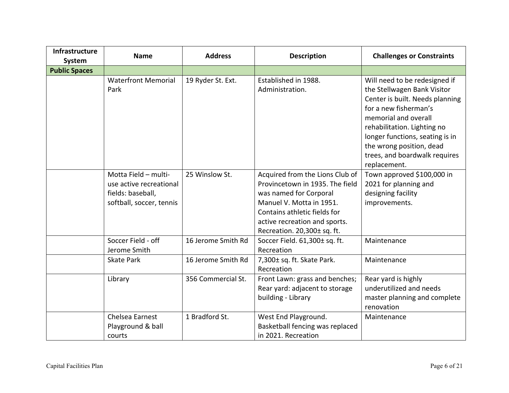| Infrastructure<br><b>System</b> | <b>Name</b>                                                                                      | <b>Address</b>     | <b>Description</b>                                                                                                                                                                                                       | <b>Challenges or Constraints</b>                                                                                                                                                                                                                                                                |
|---------------------------------|--------------------------------------------------------------------------------------------------|--------------------|--------------------------------------------------------------------------------------------------------------------------------------------------------------------------------------------------------------------------|-------------------------------------------------------------------------------------------------------------------------------------------------------------------------------------------------------------------------------------------------------------------------------------------------|
| <b>Public Spaces</b>            |                                                                                                  |                    |                                                                                                                                                                                                                          |                                                                                                                                                                                                                                                                                                 |
|                                 | <b>Waterfront Memorial</b><br>Park                                                               | 19 Ryder St. Ext.  | Established in 1988.<br>Administration.                                                                                                                                                                                  | Will need to be redesigned if<br>the Stellwagen Bank Visitor<br>Center is built. Needs planning<br>for a new fisherman's<br>memorial and overall<br>rehabilitation. Lighting no<br>longer functions, seating is in<br>the wrong position, dead<br>trees, and boardwalk requires<br>replacement. |
|                                 | Motta Field - multi-<br>use active recreational<br>fields: baseball,<br>softball, soccer, tennis | 25 Winslow St.     | Acquired from the Lions Club of<br>Provincetown in 1935. The field<br>was named for Corporal<br>Manuel V. Motta in 1951.<br>Contains athletic fields for<br>active recreation and sports.<br>Recreation. 20,300± sq. ft. | Town approved \$100,000 in<br>2021 for planning and<br>designing facility<br>improvements.                                                                                                                                                                                                      |
|                                 | Soccer Field - off<br>Jerome Smith                                                               | 16 Jerome Smith Rd | Soccer Field. 61,300± sq. ft.<br>Recreation                                                                                                                                                                              | Maintenance                                                                                                                                                                                                                                                                                     |
|                                 | <b>Skate Park</b>                                                                                | 16 Jerome Smith Rd | 7,300± sq. ft. Skate Park.<br>Recreation                                                                                                                                                                                 | Maintenance                                                                                                                                                                                                                                                                                     |
|                                 | Library                                                                                          | 356 Commercial St. | Front Lawn: grass and benches;<br>Rear yard: adjacent to storage<br>building - Library                                                                                                                                   | Rear yard is highly<br>underutilized and needs<br>master planning and complete<br>renovation                                                                                                                                                                                                    |
|                                 | Chelsea Earnest<br>Playground & ball<br>courts                                                   | 1 Bradford St.     | West End Playground.<br>Basketball fencing was replaced<br>in 2021. Recreation                                                                                                                                           | Maintenance                                                                                                                                                                                                                                                                                     |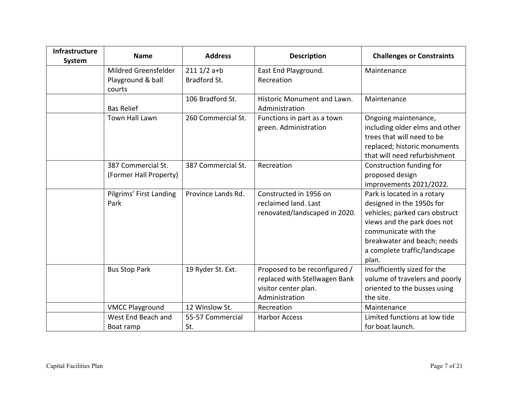| Infrastructure<br><b>System</b> | <b>Name</b>                                         | <b>Address</b>               | <b>Description</b>                                                                                       | <b>Challenges or Constraints</b>                                                                                                                                                                                          |
|---------------------------------|-----------------------------------------------------|------------------------------|----------------------------------------------------------------------------------------------------------|---------------------------------------------------------------------------------------------------------------------------------------------------------------------------------------------------------------------------|
|                                 | Mildred Greensfelder<br>Playground & ball<br>courts | $2111/2$ a+b<br>Bradford St. | East End Playground.<br>Recreation                                                                       | Maintenance                                                                                                                                                                                                               |
|                                 | <b>Bas Relief</b>                                   | 106 Bradford St.             | Historic Monument and Lawn.<br>Administration                                                            | Maintenance                                                                                                                                                                                                               |
|                                 | Town Hall Lawn                                      | 260 Commercial St.           | Functions in part as a town<br>green. Administration                                                     | Ongoing maintenance,<br>including older elms and other<br>trees that will need to be<br>replaced; historic monuments<br>that will need refurbishment                                                                      |
|                                 | 387 Commercial St.<br>(Former Hall Property)        | 387 Commercial St.           | Recreation                                                                                               | Construction funding for<br>proposed design<br>improvements 2021/2022.                                                                                                                                                    |
|                                 | Pilgrims' First Landing<br>Park                     | Province Lands Rd.           | Constructed in 1956 on<br>reclaimed land. Last<br>renovated/landscaped in 2020.                          | Park is located in a rotary<br>designed in the 1950s for<br>vehicles; parked cars obstruct<br>views and the park does not<br>communicate with the<br>breakwater and beach; needs<br>a complete traffic/landscape<br>plan. |
|                                 | <b>Bus Stop Park</b>                                | 19 Ryder St. Ext.            | Proposed to be reconfigured /<br>replaced with Stellwagen Bank<br>visitor center plan.<br>Administration | Insufficiently sized for the<br>volume of travelers and poorly<br>oriented to the busses using<br>the site.                                                                                                               |
|                                 | <b>VMCC Playground</b>                              | 12 Winslow St.               | Recreation                                                                                               | Maintenance                                                                                                                                                                                                               |
|                                 | West End Beach and<br>Boat ramp                     | 55-57 Commercial<br>St.      | <b>Harbor Access</b>                                                                                     | Limited functions at low tide<br>for boat launch.                                                                                                                                                                         |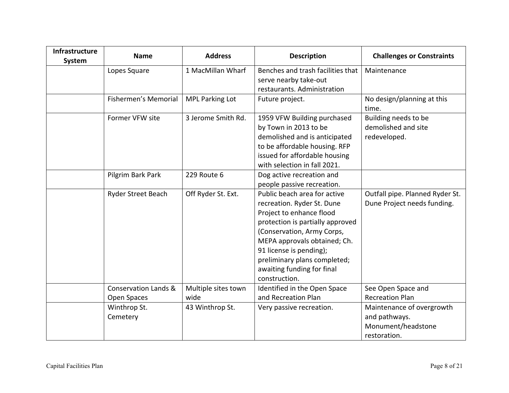| Infrastructure<br>System | <b>Name</b>                                    | <b>Address</b>              | <b>Description</b>                                                                                                                                                                                                                                                                                 | <b>Challenges or Constraints</b>                                                 |
|--------------------------|------------------------------------------------|-----------------------------|----------------------------------------------------------------------------------------------------------------------------------------------------------------------------------------------------------------------------------------------------------------------------------------------------|----------------------------------------------------------------------------------|
|                          | Lopes Square                                   | 1 MacMillan Wharf           | Benches and trash facilities that<br>serve nearby take-out<br>restaurants. Administration                                                                                                                                                                                                          | Maintenance                                                                      |
|                          | Fishermen's Memorial                           | <b>MPL Parking Lot</b>      | Future project.                                                                                                                                                                                                                                                                                    | No design/planning at this<br>time.                                              |
|                          | Former VFW site                                | 3 Jerome Smith Rd.          | 1959 VFW Building purchased<br>by Town in 2013 to be<br>demolished and is anticipated<br>to be affordable housing. RFP<br>issued for affordable housing<br>with selection in fall 2021.                                                                                                            | Building needs to be<br>demolished and site<br>redeveloped.                      |
|                          | Pilgrim Bark Park                              | 229 Route 6                 | Dog active recreation and<br>people passive recreation.                                                                                                                                                                                                                                            |                                                                                  |
|                          | Ryder Street Beach                             | Off Ryder St. Ext.          | Public beach area for active<br>recreation. Ryder St. Dune<br>Project to enhance flood<br>protection is partially approved<br>(Conservation, Army Corps,<br>MEPA approvals obtained; Ch.<br>91 license is pending);<br>preliminary plans completed;<br>awaiting funding for final<br>construction. | Outfall pipe. Planned Ryder St.<br>Dune Project needs funding.                   |
|                          | <b>Conservation Lands &amp;</b><br>Open Spaces | Multiple sites town<br>wide | Identified in the Open Space<br>and Recreation Plan                                                                                                                                                                                                                                                | See Open Space and<br><b>Recreation Plan</b>                                     |
|                          | Winthrop St.<br>Cemetery                       | 43 Winthrop St.             | Very passive recreation.                                                                                                                                                                                                                                                                           | Maintenance of overgrowth<br>and pathways.<br>Monument/headstone<br>restoration. |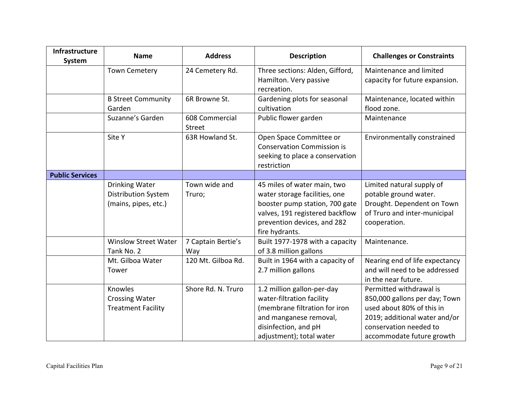| Infrastructure<br>System | <b>Name</b>                                                          | <b>Address</b>                  | <b>Description</b>                                                                                                                                                                 | <b>Challenges or Constraints</b>                                                                                                                                              |
|--------------------------|----------------------------------------------------------------------|---------------------------------|------------------------------------------------------------------------------------------------------------------------------------------------------------------------------------|-------------------------------------------------------------------------------------------------------------------------------------------------------------------------------|
|                          | <b>Town Cemetery</b>                                                 | 24 Cemetery Rd.                 | Three sections: Alden, Gifford,<br>Hamilton. Very passive<br>recreation.                                                                                                           | Maintenance and limited<br>capacity for future expansion.                                                                                                                     |
|                          | <b>B Street Community</b><br>Garden                                  | 6R Browne St.                   | Gardening plots for seasonal<br>cultivation                                                                                                                                        | Maintenance, located within<br>flood zone.                                                                                                                                    |
|                          | Suzanne's Garden                                                     | 608 Commercial<br><b>Street</b> | Public flower garden                                                                                                                                                               | Maintenance                                                                                                                                                                   |
|                          | Site Y                                                               | 63R Howland St.                 | Open Space Committee or<br><b>Conservation Commission is</b><br>seeking to place a conservation<br>restriction                                                                     | Environmentally constrained                                                                                                                                                   |
| <b>Public Services</b>   |                                                                      |                                 |                                                                                                                                                                                    |                                                                                                                                                                               |
|                          | <b>Drinking Water</b><br>Distribution System<br>(mains, pipes, etc.) | Town wide and<br>Truro;         | 45 miles of water main, two<br>water storage facilities, one<br>booster pump station, 700 gate<br>valves, 191 registered backflow<br>prevention devices, and 282<br>fire hydrants. | Limited natural supply of<br>potable ground water.<br>Drought. Dependent on Town<br>of Truro and inter-municipal<br>cooperation.                                              |
|                          | <b>Winslow Street Water</b><br>Tank No. 2                            | 7 Captain Bertie's<br>Way       | Built 1977-1978 with a capacity<br>of 3.8 million gallons                                                                                                                          | Maintenance.                                                                                                                                                                  |
|                          | Mt. Gilboa Water<br>Tower                                            | 120 Mt. Gilboa Rd.              | Built in 1964 with a capacity of<br>2.7 million gallons                                                                                                                            | Nearing end of life expectancy<br>and will need to be addressed<br>in the near future.                                                                                        |
|                          | Knowles<br><b>Crossing Water</b><br><b>Treatment Facility</b>        | Shore Rd. N. Truro              | 1.2 million gallon-per-day<br>water-filtration facility<br>(membrane filtration for iron<br>and manganese removal,<br>disinfection, and pH<br>adjustment); total water             | Permitted withdrawal is<br>850,000 gallons per day; Town<br>used about 80% of this in<br>2019; additional water and/or<br>conservation needed to<br>accommodate future growth |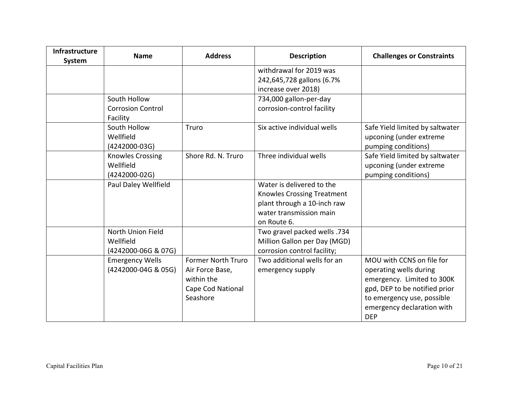| Infrastructure<br><b>System</b> | <b>Name</b>                                             | <b>Address</b>                                                                              | <b>Description</b>                                                                                                               | <b>Challenges or Constraints</b>                                                                                                                                                             |
|---------------------------------|---------------------------------------------------------|---------------------------------------------------------------------------------------------|----------------------------------------------------------------------------------------------------------------------------------|----------------------------------------------------------------------------------------------------------------------------------------------------------------------------------------------|
|                                 |                                                         |                                                                                             | withdrawal for 2019 was<br>242,645,728 gallons (6.7%<br>increase over 2018)                                                      |                                                                                                                                                                                              |
|                                 | South Hollow<br><b>Corrosion Control</b><br>Facility    |                                                                                             | 734,000 gallon-per-day<br>corrosion-control facility                                                                             |                                                                                                                                                                                              |
|                                 | South Hollow<br>Wellfield<br>$(4242000-03G)$            | Truro                                                                                       | Six active individual wells                                                                                                      | Safe Yield limited by saltwater<br>upconing (under extreme<br>pumping conditions)                                                                                                            |
|                                 | <b>Knowles Crossing</b><br>Wellfield<br>$(4242000-02G)$ | Shore Rd. N. Truro                                                                          | Three individual wells                                                                                                           | Safe Yield limited by saltwater<br>upconing (under extreme<br>pumping conditions)                                                                                                            |
|                                 | Paul Daley Wellfield                                    |                                                                                             | Water is delivered to the<br>Knowles Crossing Treatment<br>plant through a 10-inch raw<br>water transmission main<br>on Route 6. |                                                                                                                                                                                              |
|                                 | North Union Field<br>Wellfield<br>(4242000-06G & 07G)   |                                                                                             | Two gravel packed wells .734<br>Million Gallon per Day (MGD)<br>corrosion control facility;                                      |                                                                                                                                                                                              |
|                                 | <b>Emergency Wells</b><br>(4242000-04G & 05G)           | <b>Former North Truro</b><br>Air Force Base,<br>within the<br>Cape Cod National<br>Seashore | Two additional wells for an<br>emergency supply                                                                                  | MOU with CCNS on file for<br>operating wells during<br>emergency. Limited to 300K<br>gpd, DEP to be notified prior<br>to emergency use, possible<br>emergency declaration with<br><b>DEP</b> |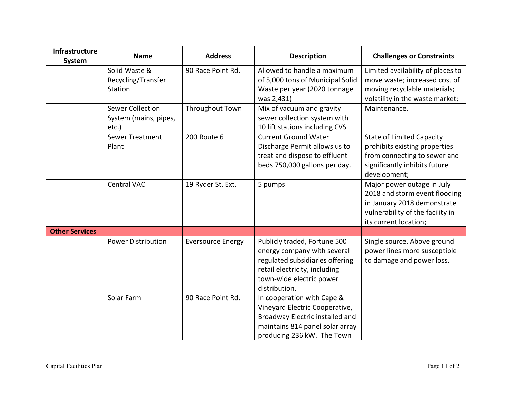| Infrastructure<br>System | <b>Name</b>                                               | <b>Address</b>           | <b>Description</b>                                                                                                                                                           | <b>Challenges or Constraints</b>                                                                                                                        |
|--------------------------|-----------------------------------------------------------|--------------------------|------------------------------------------------------------------------------------------------------------------------------------------------------------------------------|---------------------------------------------------------------------------------------------------------------------------------------------------------|
|                          | Solid Waste &<br>Recycling/Transfer<br>Station            | 90 Race Point Rd.        | Allowed to handle a maximum<br>of 5,000 tons of Municipal Solid<br>Waste per year (2020 tonnage<br>was 2,431)                                                                | Limited availability of places to<br>move waste; increased cost of<br>moving recyclable materials;<br>volatility in the waste market;                   |
|                          | <b>Sewer Collection</b><br>System (mains, pipes,<br>etc.) | Throughout Town          | Mix of vacuum and gravity<br>sewer collection system with<br>10 lift stations including CVS                                                                                  | Maintenance.                                                                                                                                            |
|                          | <b>Sewer Treatment</b><br>Plant                           | 200 Route 6              | <b>Current Ground Water</b><br>Discharge Permit allows us to<br>treat and dispose to effluent<br>beds 750,000 gallons per day.                                               | <b>State of Limited Capacity</b><br>prohibits existing properties<br>from connecting to sewer and<br>significantly inhibits future<br>development;      |
|                          | <b>Central VAC</b>                                        | 19 Ryder St. Ext.        | 5 pumps                                                                                                                                                                      | Major power outage in July<br>2018 and storm event flooding<br>in January 2018 demonstrate<br>vulnerability of the facility in<br>its current location; |
| <b>Other Services</b>    |                                                           |                          |                                                                                                                                                                              |                                                                                                                                                         |
|                          | <b>Power Distribution</b>                                 | <b>Eversource Energy</b> | Publicly traded, Fortune 500<br>energy company with several<br>regulated subsidiaries offering<br>retail electricity, including<br>town-wide electric power<br>distribution. | Single source. Above ground<br>power lines more susceptible<br>to damage and power loss.                                                                |
|                          | Solar Farm                                                | 90 Race Point Rd.        | In cooperation with Cape &<br>Vineyard Electric Cooperative,<br>Broadway Electric installed and<br>maintains 814 panel solar array<br>producing 236 kW. The Town             |                                                                                                                                                         |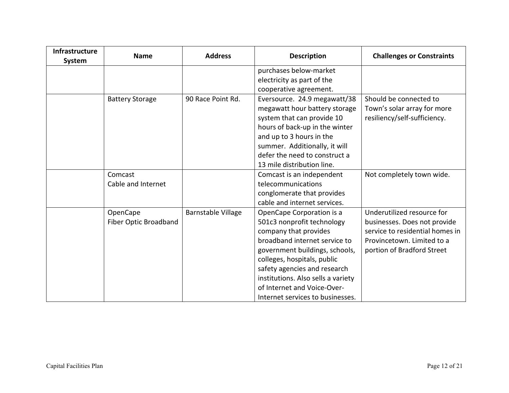| <b>Infrastructure</b><br>System | <b>Name</b>            | <b>Address</b>     | <b>Description</b>                 | <b>Challenges or Constraints</b> |
|---------------------------------|------------------------|--------------------|------------------------------------|----------------------------------|
|                                 |                        |                    | purchases below-market             |                                  |
|                                 |                        |                    | electricity as part of the         |                                  |
|                                 |                        |                    | cooperative agreement.             |                                  |
|                                 | <b>Battery Storage</b> | 90 Race Point Rd.  | Eversource. 24.9 megawatt/38       | Should be connected to           |
|                                 |                        |                    | megawatt hour battery storage      | Town's solar array for more      |
|                                 |                        |                    | system that can provide 10         | resiliency/self-sufficiency.     |
|                                 |                        |                    | hours of back-up in the winter     |                                  |
|                                 |                        |                    | and up to 3 hours in the           |                                  |
|                                 |                        |                    | summer. Additionally, it will      |                                  |
|                                 |                        |                    | defer the need to construct a      |                                  |
|                                 |                        |                    | 13 mile distribution line.         |                                  |
|                                 | Comcast                |                    | Comcast is an independent          | Not completely town wide.        |
|                                 | Cable and Internet     |                    | telecommunications                 |                                  |
|                                 |                        |                    | conglomerate that provides         |                                  |
|                                 |                        |                    | cable and internet services.       |                                  |
|                                 | OpenCape               | Barnstable Village | OpenCape Corporation is a          | Underutilized resource for       |
|                                 | Fiber Optic Broadband  |                    | 501c3 nonprofit technology         | businesses. Does not provide     |
|                                 |                        |                    | company that provides              | service to residential homes in  |
|                                 |                        |                    | broadband internet service to      | Provincetown. Limited to a       |
|                                 |                        |                    | government buildings, schools,     | portion of Bradford Street       |
|                                 |                        |                    | colleges, hospitals, public        |                                  |
|                                 |                        |                    | safety agencies and research       |                                  |
|                                 |                        |                    | institutions. Also sells a variety |                                  |
|                                 |                        |                    | of Internet and Voice-Over-        |                                  |
|                                 |                        |                    | Internet services to businesses.   |                                  |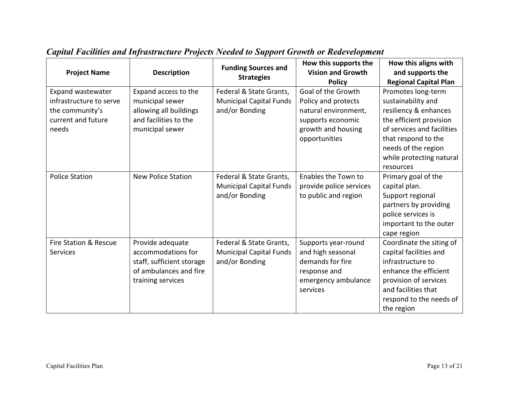| <b>Project Name</b>                                                                                   | <b>Description</b>                                                                                                 | <b>Funding Sources and</b><br><b>Strategies</b>                             | How this supports the<br><b>Vision and Growth</b><br><b>Policy</b>                                                            | How this aligns with<br>and supports the<br><b>Regional Capital Plan</b>                                                                                                                                          |
|-------------------------------------------------------------------------------------------------------|--------------------------------------------------------------------------------------------------------------------|-----------------------------------------------------------------------------|-------------------------------------------------------------------------------------------------------------------------------|-------------------------------------------------------------------------------------------------------------------------------------------------------------------------------------------------------------------|
| <b>Expand wastewater</b><br>infrastructure to serve<br>the community's<br>current and future<br>needs | Expand access to the<br>municipal sewer<br>allowing all buildings<br>and facilities to the<br>municipal sewer      | Federal & State Grants,<br><b>Municipal Capital Funds</b><br>and/or Bonding | Goal of the Growth<br>Policy and protects<br>natural environment,<br>supports economic<br>growth and housing<br>opportunities | Promotes long-term<br>sustainability and<br>resiliency & enhances<br>the efficient provision<br>of services and facilities<br>that respond to the<br>needs of the region<br>while protecting natural<br>resources |
| <b>Police Station</b>                                                                                 | <b>New Police Station</b>                                                                                          | Federal & State Grants,<br><b>Municipal Capital Funds</b><br>and/or Bonding | Enables the Town to<br>provide police services<br>to public and region                                                        | Primary goal of the<br>capital plan.<br>Support regional<br>partners by providing<br>police services is<br>important to the outer<br>cape region                                                                  |
| Fire Station & Rescue<br><b>Services</b>                                                              | Provide adequate<br>accommodations for<br>staff, sufficient storage<br>of ambulances and fire<br>training services | Federal & State Grants,<br><b>Municipal Capital Funds</b><br>and/or Bonding | Supports year-round<br>and high seasonal<br>demands for fire<br>response and<br>emergency ambulance<br>services               | Coordinate the siting of<br>capital facilities and<br>infrastructure to<br>enhance the efficient<br>provision of services<br>and facilities that<br>respond to the needs of<br>the region                         |

## *Capital Facilities and Infrastructure Projects Needed to Support Growth or Redevelopment*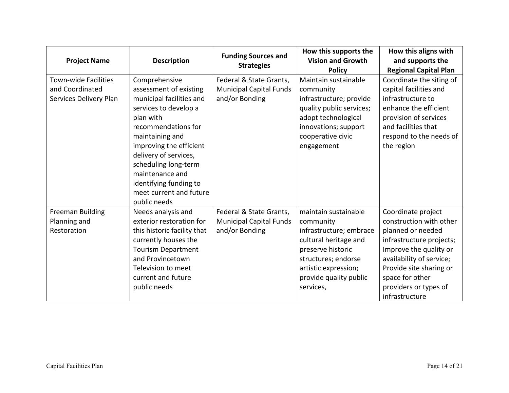| <b>Project Name</b>                                                      | <b>Description</b>                                                                                                                                                                                                                                                                                                      | <b>Funding Sources and</b><br><b>Strategies</b>                             | How this supports the<br><b>Vision and Growth</b><br><b>Policy</b>                                                                                                                               | How this aligns with<br>and supports the<br><b>Regional Capital Plan</b>                                                                                                                                                                      |
|--------------------------------------------------------------------------|-------------------------------------------------------------------------------------------------------------------------------------------------------------------------------------------------------------------------------------------------------------------------------------------------------------------------|-----------------------------------------------------------------------------|--------------------------------------------------------------------------------------------------------------------------------------------------------------------------------------------------|-----------------------------------------------------------------------------------------------------------------------------------------------------------------------------------------------------------------------------------------------|
| <b>Town-wide Facilities</b><br>and Coordinated<br>Services Delivery Plan | Comprehensive<br>assessment of existing<br>municipal facilities and<br>services to develop a<br>plan with<br>recommendations for<br>maintaining and<br>improving the efficient<br>delivery of services,<br>scheduling long-term<br>maintenance and<br>identifying funding to<br>meet current and future<br>public needs | Federal & State Grants,<br><b>Municipal Capital Funds</b><br>and/or Bonding | Maintain sustainable<br>community<br>infrastructure; provide<br>quality public services;<br>adopt technological<br>innovations; support<br>cooperative civic<br>engagement                       | Coordinate the siting of<br>capital facilities and<br>infrastructure to<br>enhance the efficient<br>provision of services<br>and facilities that<br>respond to the needs of<br>the region                                                     |
| <b>Freeman Building</b><br>Planning and<br>Restoration                   | Needs analysis and<br>exterior restoration for<br>this historic facility that<br>currently houses the<br><b>Tourism Department</b><br>and Provincetown<br>Television to meet<br>current and future<br>public needs                                                                                                      | Federal & State Grants,<br><b>Municipal Capital Funds</b><br>and/or Bonding | maintain sustainable<br>community<br>infrastructure; embrace<br>cultural heritage and<br>preserve historic<br>structures; endorse<br>artistic expression;<br>provide quality public<br>services, | Coordinate project<br>construction with other<br>planned or needed<br>infrastructure projects;<br>Improve the quality or<br>availability of service;<br>Provide site sharing or<br>space for other<br>providers or types of<br>infrastructure |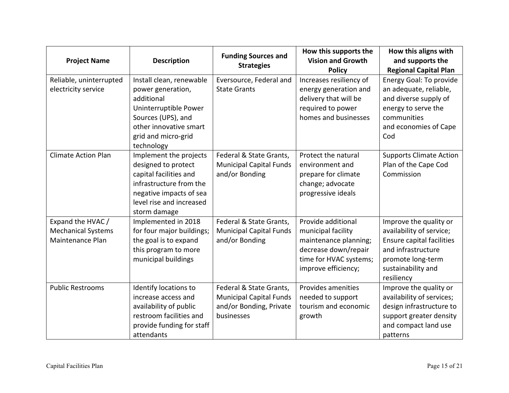| <b>Project Name</b>                                                | <b>Description</b>                                                                                                                                                        | <b>Funding Sources and</b><br><b>Strategies</b>                                                    | How this supports the<br><b>Vision and Growth</b><br><b>Policy</b>                                                                         | How this aligns with<br>and supports the<br><b>Regional Capital Plan</b>                                                                                              |
|--------------------------------------------------------------------|---------------------------------------------------------------------------------------------------------------------------------------------------------------------------|----------------------------------------------------------------------------------------------------|--------------------------------------------------------------------------------------------------------------------------------------------|-----------------------------------------------------------------------------------------------------------------------------------------------------------------------|
| Reliable, uninterrupted<br>electricity service                     | Install clean, renewable<br>power generation,<br>additional<br>Uninterruptible Power<br>Sources (UPS), and<br>other innovative smart<br>grid and micro-grid<br>technology | Eversource, Federal and<br><b>State Grants</b>                                                     | Increases resiliency of<br>energy generation and<br>delivery that will be<br>required to power<br>homes and businesses                     | <b>Energy Goal: To provide</b><br>an adequate, reliable,<br>and diverse supply of<br>energy to serve the<br>communities<br>and economies of Cape<br>Cod               |
| <b>Climate Action Plan</b>                                         | Implement the projects<br>designed to protect<br>capital facilities and<br>infrastructure from the<br>negative impacts of sea<br>level rise and increased<br>storm damage | Federal & State Grants,<br><b>Municipal Capital Funds</b><br>and/or Bonding                        | Protect the natural<br>environment and<br>prepare for climate<br>change; advocate<br>progressive ideals                                    | <b>Supports Climate Action</b><br>Plan of the Cape Cod<br>Commission                                                                                                  |
| Expand the HVAC /<br><b>Mechanical Systems</b><br>Maintenance Plan | Implemented in 2018<br>for four major buildings;<br>the goal is to expand<br>this program to more<br>municipal buildings                                                  | Federal & State Grants,<br><b>Municipal Capital Funds</b><br>and/or Bonding                        | Provide additional<br>municipal facility<br>maintenance planning;<br>decrease down/repair<br>time for HVAC systems;<br>improve efficiency; | Improve the quality or<br>availability of service;<br><b>Ensure capital facilities</b><br>and infrastructure<br>promote long-term<br>sustainability and<br>resiliency |
| <b>Public Restrooms</b>                                            | Identify locations to<br>increase access and<br>availability of public<br>restroom facilities and<br>provide funding for staff<br>attendants                              | Federal & State Grants,<br><b>Municipal Capital Funds</b><br>and/or Bonding, Private<br>businesses | Provides amenities<br>needed to support<br>tourism and economic<br>growth                                                                  | Improve the quality or<br>availability of services;<br>design infrastructure to<br>support greater density<br>and compact land use<br>patterns                        |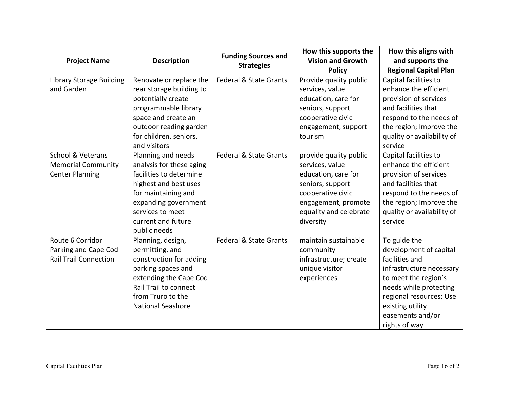| <b>Project Name</b>                                                                 | <b>Description</b>                                                                                                                                                                                          | <b>Funding Sources and</b><br><b>Strategies</b> | How this supports the<br><b>Vision and Growth</b><br><b>Policy</b>                                                                                                      | How this aligns with<br>and supports the<br><b>Regional Capital Plan</b>                                                                                                                                                   |
|-------------------------------------------------------------------------------------|-------------------------------------------------------------------------------------------------------------------------------------------------------------------------------------------------------------|-------------------------------------------------|-------------------------------------------------------------------------------------------------------------------------------------------------------------------------|----------------------------------------------------------------------------------------------------------------------------------------------------------------------------------------------------------------------------|
| <b>Library Storage Building</b><br>and Garden                                       | Renovate or replace the<br>rear storage building to<br>potentially create<br>programmable library<br>space and create an<br>outdoor reading garden                                                          | Federal & State Grants                          | Provide quality public<br>services, value<br>education, care for<br>seniors, support<br>cooperative civic<br>engagement, support                                        | Capital facilities to<br>enhance the efficient<br>provision of services<br>and facilities that<br>respond to the needs of<br>the region; Improve the                                                                       |
|                                                                                     | for children, seniors,<br>and visitors                                                                                                                                                                      |                                                 | tourism                                                                                                                                                                 | quality or availability of<br>service                                                                                                                                                                                      |
| <b>School &amp; Veterans</b><br><b>Memorial Community</b><br><b>Center Planning</b> | Planning and needs<br>analysis for these aging<br>facilities to determine<br>highest and best uses<br>for maintaining and<br>expanding government<br>services to meet<br>current and future<br>public needs | Federal & State Grants                          | provide quality public<br>services, value<br>education, care for<br>seniors, support<br>cooperative civic<br>engagement, promote<br>equality and celebrate<br>diversity | Capital facilities to<br>enhance the efficient<br>provision of services<br>and facilities that<br>respond to the needs of<br>the region; Improve the<br>quality or availability of<br>service                              |
| Route 6 Corridor<br>Parking and Cape Cod<br><b>Rail Trail Connection</b>            | Planning, design,<br>permitting, and<br>construction for adding<br>parking spaces and<br>extending the Cape Cod<br>Rail Trail to connect<br>from Truro to the<br><b>National Seashore</b>                   | <b>Federal &amp; State Grants</b>               | maintain sustainable<br>community<br>infrastructure; create<br>unique visitor<br>experiences                                                                            | To guide the<br>development of capital<br>facilities and<br>infrastructure necessary<br>to meet the region's<br>needs while protecting<br>regional resources; Use<br>existing utility<br>easements and/or<br>rights of way |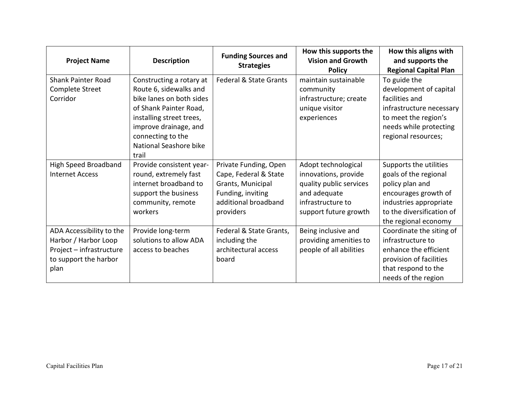| <b>Project Name</b>                                                                                           | <b>Description</b>                                                                                                                                                                                                    | <b>Funding Sources and</b><br><b>Strategies</b>                                                                               | How this supports the<br><b>Vision and Growth</b><br><b>Policy</b>                                                                   | How this aligns with<br>and supports the<br><b>Regional Capital Plan</b>                                                                                                  |
|---------------------------------------------------------------------------------------------------------------|-----------------------------------------------------------------------------------------------------------------------------------------------------------------------------------------------------------------------|-------------------------------------------------------------------------------------------------------------------------------|--------------------------------------------------------------------------------------------------------------------------------------|---------------------------------------------------------------------------------------------------------------------------------------------------------------------------|
| <b>Shank Painter Road</b><br>Complete Street<br>Corridor                                                      | Constructing a rotary at<br>Route 6, sidewalks and<br>bike lanes on both sides<br>of Shank Painter Road,<br>installing street trees,<br>improve drainage, and<br>connecting to the<br>National Seashore bike<br>trail | Federal & State Grants                                                                                                        | maintain sustainable<br>community<br>infrastructure; create<br>unique visitor<br>experiences                                         | To guide the<br>development of capital<br>facilities and<br>infrastructure necessary<br>to meet the region's<br>needs while protecting<br>regional resources;             |
| <b>High Speed Broadband</b><br><b>Internet Access</b>                                                         | Provide consistent year-<br>round, extremely fast<br>internet broadband to<br>support the business<br>community, remote<br>workers                                                                                    | Private Funding, Open<br>Cape, Federal & State<br>Grants, Municipal<br>Funding, inviting<br>additional broadband<br>providers | Adopt technological<br>innovations, provide<br>quality public services<br>and adequate<br>infrastructure to<br>support future growth | Supports the utilities<br>goals of the regional<br>policy plan and<br>encourages growth of<br>industries appropriate<br>to the diversification of<br>the regional economy |
| ADA Accessibility to the<br>Harbor / Harbor Loop<br>Project - infrastructure<br>to support the harbor<br>plan | Provide long-term<br>solutions to allow ADA<br>access to beaches                                                                                                                                                      | Federal & State Grants,<br>including the<br>architectural access<br>board                                                     | Being inclusive and<br>providing amenities to<br>people of all abilities                                                             | Coordinate the siting of<br>infrastructure to<br>enhance the efficient<br>provision of facilities<br>that respond to the<br>needs of the region                           |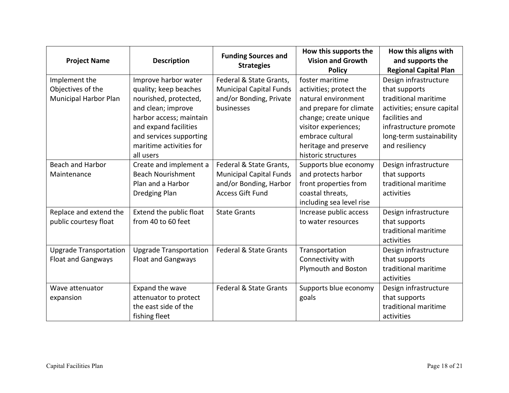| <b>Project Name</b>                                                | <b>Description</b>                                                                                                                                                          | <b>Funding Sources and</b><br><b>Strategies</b>                                                                | How this supports the<br><b>Vision and Growth</b><br><b>Policy</b>                                                                                                | How this aligns with<br>and supports the<br><b>Regional Capital Plan</b>                                                                                             |
|--------------------------------------------------------------------|-----------------------------------------------------------------------------------------------------------------------------------------------------------------------------|----------------------------------------------------------------------------------------------------------------|-------------------------------------------------------------------------------------------------------------------------------------------------------------------|----------------------------------------------------------------------------------------------------------------------------------------------------------------------|
| Implement the<br>Objectives of the<br><b>Municipal Harbor Plan</b> | Improve harbor water<br>quality; keep beaches<br>nourished, protected,<br>and clean; improve<br>harbor access; maintain<br>and expand facilities<br>and services supporting | Federal & State Grants,<br><b>Municipal Capital Funds</b><br>and/or Bonding, Private<br>businesses             | foster maritime<br>activities; protect the<br>natural environment<br>and prepare for climate<br>change; create unique<br>visitor experiences;<br>embrace cultural | Design infrastructure<br>that supports<br>traditional maritime<br>activities; ensure capital<br>facilities and<br>infrastructure promote<br>long-term sustainability |
|                                                                    | maritime activities for<br>all users                                                                                                                                        |                                                                                                                | heritage and preserve<br>historic structures                                                                                                                      | and resiliency                                                                                                                                                       |
| <b>Beach and Harbor</b><br>Maintenance                             | Create and implement a<br><b>Beach Nourishment</b><br>Plan and a Harbor<br><b>Dredging Plan</b>                                                                             | Federal & State Grants,<br><b>Municipal Capital Funds</b><br>and/or Bonding, Harbor<br><b>Access Gift Fund</b> | Supports blue economy<br>and protects harbor<br>front properties from<br>coastal threats,<br>including sea level rise                                             | Design infrastructure<br>that supports<br>traditional maritime<br>activities                                                                                         |
| Replace and extend the<br>public courtesy float                    | Extend the public float<br>from 40 to 60 feet                                                                                                                               | <b>State Grants</b>                                                                                            | Increase public access<br>to water resources                                                                                                                      | Design infrastructure<br>that supports<br>traditional maritime<br>activities                                                                                         |
| <b>Upgrade Transportation</b><br><b>Float and Gangways</b>         | <b>Upgrade Transportation</b><br><b>Float and Gangways</b>                                                                                                                  | <b>Federal &amp; State Grants</b>                                                                              | Transportation<br>Connectivity with<br>Plymouth and Boston                                                                                                        | Design infrastructure<br>that supports<br>traditional maritime<br>activities                                                                                         |
| Wave attenuator<br>expansion                                       | Expand the wave<br>attenuator to protect<br>the east side of the<br>fishing fleet                                                                                           | Federal & State Grants                                                                                         | Supports blue economy<br>goals                                                                                                                                    | Design infrastructure<br>that supports<br>traditional maritime<br>activities                                                                                         |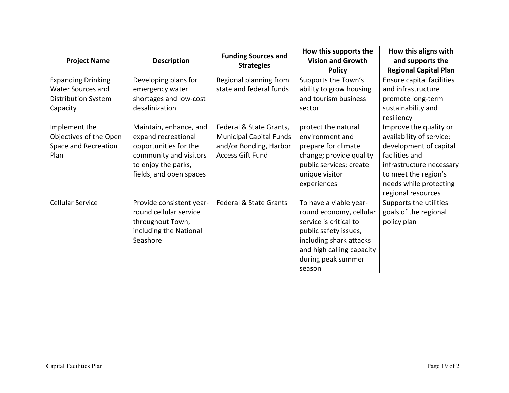| <b>Project Name</b>                                                                      | <b>Description</b>                                                                                                                                 | <b>Funding Sources and</b><br><b>Strategies</b>                                                                | How this supports the<br><b>Vision and Growth</b><br><b>Policy</b>                                                                                                                           | How this aligns with<br>and supports the<br><b>Regional Capital Plan</b>                                                                                                                           |
|------------------------------------------------------------------------------------------|----------------------------------------------------------------------------------------------------------------------------------------------------|----------------------------------------------------------------------------------------------------------------|----------------------------------------------------------------------------------------------------------------------------------------------------------------------------------------------|----------------------------------------------------------------------------------------------------------------------------------------------------------------------------------------------------|
| <b>Expanding Drinking</b><br>Water Sources and<br><b>Distribution System</b><br>Capacity | Developing plans for<br>emergency water<br>shortages and low-cost<br>desalinization                                                                | Regional planning from<br>state and federal funds                                                              | Supports the Town's<br>ability to grow housing<br>and tourism business<br>sector                                                                                                             | Ensure capital facilities<br>and infrastructure<br>promote long-term<br>sustainability and<br>resiliency                                                                                           |
| Implement the<br>Objectives of the Open<br>Space and Recreation<br>Plan                  | Maintain, enhance, and<br>expand recreational<br>opportunities for the<br>community and visitors<br>to enjoy the parks,<br>fields, and open spaces | Federal & State Grants,<br><b>Municipal Capital Funds</b><br>and/or Bonding, Harbor<br><b>Access Gift Fund</b> | protect the natural<br>environment and<br>prepare for climate<br>change; provide quality<br>public services; create<br>unique visitor<br>experiences                                         | Improve the quality or<br>availability of service;<br>development of capital<br>facilities and<br>infrastructure necessary<br>to meet the region's<br>needs while protecting<br>regional resources |
| <b>Cellular Service</b>                                                                  | Provide consistent year-<br>round cellular service<br>throughout Town,<br>including the National<br>Seashore                                       | Federal & State Grants                                                                                         | To have a viable year-<br>round economy, cellular<br>service is critical to<br>public safety issues,<br>including shark attacks<br>and high calling capacity<br>during peak summer<br>season | Supports the utilities<br>goals of the regional<br>policy plan                                                                                                                                     |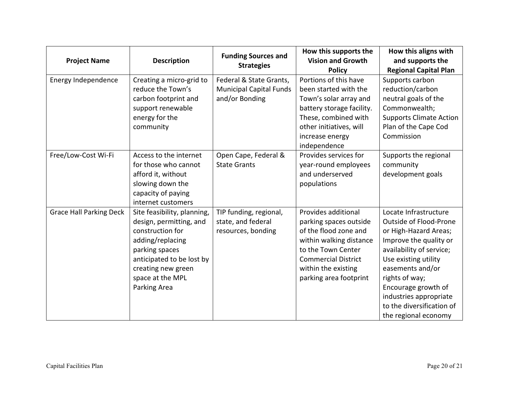| <b>Project Name</b>            | <b>Description</b>                                                                                                                                                                                      | <b>Funding Sources and</b><br><b>Strategies</b>                             | How this supports the<br><b>Vision and Growth</b><br><b>Policy</b>                                                                                                                                     | How this aligns with<br>and supports the<br><b>Regional Capital Plan</b>                                                                                                                                                                                                                           |
|--------------------------------|---------------------------------------------------------------------------------------------------------------------------------------------------------------------------------------------------------|-----------------------------------------------------------------------------|--------------------------------------------------------------------------------------------------------------------------------------------------------------------------------------------------------|----------------------------------------------------------------------------------------------------------------------------------------------------------------------------------------------------------------------------------------------------------------------------------------------------|
| Energy Independence            | Creating a micro-grid to<br>reduce the Town's<br>carbon footprint and<br>support renewable<br>energy for the<br>community                                                                               | Federal & State Grants,<br><b>Municipal Capital Funds</b><br>and/or Bonding | Portions of this have<br>been started with the<br>Town's solar array and<br>battery storage facility.<br>These, combined with<br>other initiatives, will<br>increase energy<br>independence            | Supports carbon<br>reduction/carbon<br>neutral goals of the<br>Commonwealth;<br><b>Supports Climate Action</b><br>Plan of the Cape Cod<br>Commission                                                                                                                                               |
| Free/Low-Cost Wi-Fi            | Access to the internet<br>for those who cannot<br>afford it, without<br>slowing down the<br>capacity of paying<br>internet customers                                                                    | Open Cape, Federal &<br><b>State Grants</b>                                 | Provides services for<br>year-round employees<br>and underserved<br>populations                                                                                                                        | Supports the regional<br>community<br>development goals                                                                                                                                                                                                                                            |
| <b>Grace Hall Parking Deck</b> | Site feasibility, planning,<br>design, permitting, and<br>construction for<br>adding/replacing<br>parking spaces<br>anticipated to be lost by<br>creating new green<br>space at the MPL<br>Parking Area | TIP funding, regional,<br>state, and federal<br>resources, bonding          | Provides additional<br>parking spaces outside<br>of the flood zone and<br>within walking distance<br>to the Town Center<br><b>Commercial District</b><br>within the existing<br>parking area footprint | Locate Infrastructure<br>Outside of Flood-Prone<br>or High-Hazard Areas;<br>Improve the quality or<br>availability of service;<br>Use existing utility<br>easements and/or<br>rights of way;<br>Encourage growth of<br>industries appropriate<br>to the diversification of<br>the regional economy |